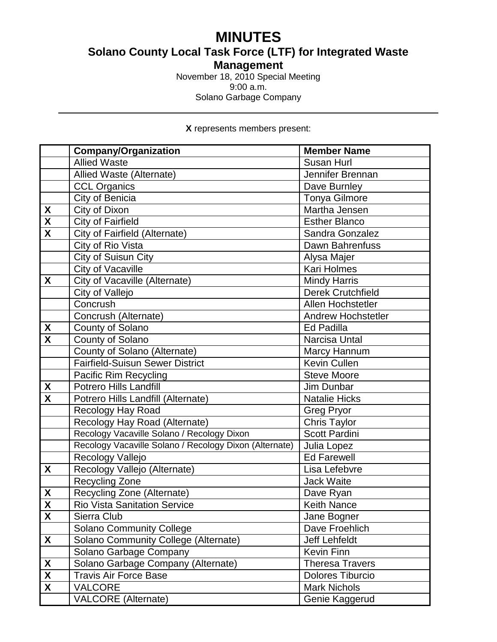# **MINUTES**

**Solano County Local Task Force (LTF) for Integrated Waste** 

**Management**

November 18, 2010 Special Meeting 9:00 a.m.

Solano Garbage Company

**X** represents members present:

|                           | <b>Company/Organization</b>                            | <b>Member Name</b>        |
|---------------------------|--------------------------------------------------------|---------------------------|
|                           | <b>Allied Waste</b>                                    | <b>Susan Hurl</b>         |
|                           | Allied Waste (Alternate)                               | Jennifer Brennan          |
|                           | <b>CCL Organics</b>                                    | Dave Burnley              |
|                           | City of Benicia                                        | <b>Tonya Gilmore</b>      |
| X                         | City of Dixon                                          | Martha Jensen             |
| $\overline{\mathbf{X}}$   | <b>City of Fairfield</b>                               | <b>Esther Blanco</b>      |
| $\overline{\mathbf{X}}$   | City of Fairfield (Alternate)                          | Sandra Gonzalez           |
|                           | City of Rio Vista                                      | Dawn Bahrenfuss           |
|                           | City of Suisun City                                    | Alysa Majer               |
|                           | City of Vacaville                                      | <b>Kari Holmes</b>        |
| X                         | City of Vacaville (Alternate)                          | <b>Mindy Harris</b>       |
|                           | City of Vallejo                                        | <b>Derek Crutchfield</b>  |
|                           | Concrush                                               | Allen Hochstetler         |
|                           | Concrush (Alternate)                                   | <b>Andrew Hochstetler</b> |
| X                         | County of Solano                                       | Ed Padilla                |
| $\overline{\textbf{x}}$   | County of Solano                                       | Narcisa Untal             |
|                           | County of Solano (Alternate)                           | Marcy Hannum              |
|                           | <b>Fairfield-Suisun Sewer District</b>                 | <b>Kevin Cullen</b>       |
|                           | Pacific Rim Recycling                                  | <b>Steve Moore</b>        |
| X                         | <b>Potrero Hills Landfill</b>                          | Jim Dunbar                |
| $\overline{\mathsf{x}}$   | Potrero Hills Landfill (Alternate)                     | <b>Natalie Hicks</b>      |
|                           | <b>Recology Hay Road</b>                               | <b>Greg Pryor</b>         |
|                           | Recology Hay Road (Alternate)                          | <b>Chris Taylor</b>       |
|                           | Recology Vacaville Solano / Recology Dixon             | Scott Pardini             |
|                           | Recology Vacaville Solano / Recology Dixon (Alternate) | Julia Lopez               |
|                           | Recology Vallejo                                       | <b>Ed Farewell</b>        |
| X                         | Recology Vallejo (Alternate)                           | Lisa Lefebvre             |
|                           | Recycling Zone                                         | <b>Jack Waite</b>         |
| $\pmb{\mathsf{X}}$        | Recycling Zone (Alternate)                             | Dave Ryan                 |
| $\boldsymbol{\mathsf{X}}$ | Rio Vista Sanitation Service                           | <b>Keith Nance</b>        |
| $\boldsymbol{X}$          | Sierra Club                                            | Jane Bogner               |
|                           | <b>Solano Community College</b>                        | Dave Froehlich            |
| X                         | Solano Community College (Alternate)                   | Jeff Lehfeldt             |
|                           | Solano Garbage Company                                 | <b>Kevin Finn</b>         |
| X                         | Solano Garbage Company (Alternate)                     | <b>Theresa Travers</b>    |
| $\overline{\mathbf{X}}$   | <b>Travis Air Force Base</b>                           | <b>Dolores Tiburcio</b>   |
| $\overline{\mathbf{X}}$   | <b>VALCORE</b>                                         | <b>Mark Nichols</b>       |
|                           | <b>VALCORE</b> (Alternate)                             | Genie Kaggerud            |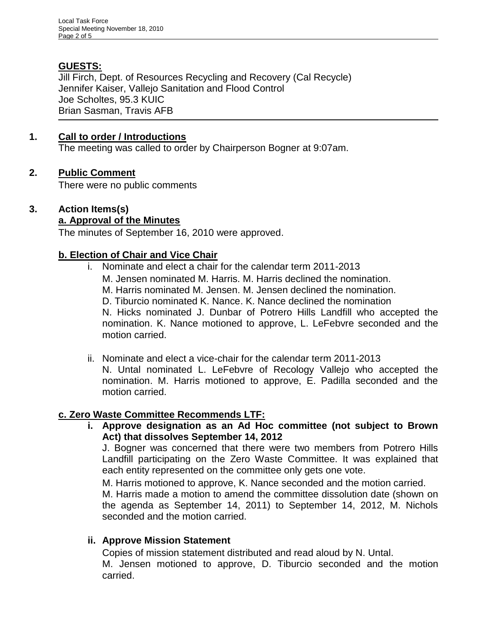# **GUESTS:**

Jill Firch, Dept. of Resources Recycling and Recovery (Cal Recycle) Jennifer Kaiser, Vallejo Sanitation and Flood Control Joe Scholtes, 95.3 KUIC Brian Sasman, Travis AFB

### **1. Call to order / Introductions**

The meeting was called to order by Chairperson Bogner at 9:07am.

### **2. Public Comment**

There were no public comments

#### **3. Action Items(s) a. Approval of the Minutes**

The minutes of September 16, 2010 were approved.

### **b. Election of Chair and Vice Chair**

- i. Nominate and elect a chair for the calendar term 2011-2013
	- M. Jensen nominated M. Harris. M. Harris declined the nomination.
	- M. Harris nominated M. Jensen. M. Jensen declined the nomination.
	- D. Tiburcio nominated K. Nance. K. Nance declined the nomination

N. Hicks nominated J. Dunbar of Potrero Hills Landfill who accepted the nomination. K. Nance motioned to approve, L. LeFebvre seconded and the motion carried.

ii. Nominate and elect a vice-chair for the calendar term 2011-2013 N. Untal nominated L. LeFebvre of Recology Vallejo who accepted the

nomination. M. Harris motioned to approve, E. Padilla seconded and the motion carried.

### **c. Zero Waste Committee Recommends LTF:**

**i. Approve designation as an Ad Hoc committee (not subject to Brown Act) that dissolves September 14, 2012**

J. Bogner was concerned that there were two members from Potrero Hills Landfill participating on the Zero Waste Committee. It was explained that each entity represented on the committee only gets one vote.

M. Harris motioned to approve, K. Nance seconded and the motion carried.

M. Harris made a motion to amend the committee dissolution date (shown on the agenda as September 14, 2011) to September 14, 2012, M. Nichols seconded and the motion carried.

### **ii. Approve Mission Statement**

Copies of mission statement distributed and read aloud by N. Untal. M. Jensen motioned to approve, D. Tiburcio seconded and the motion carried.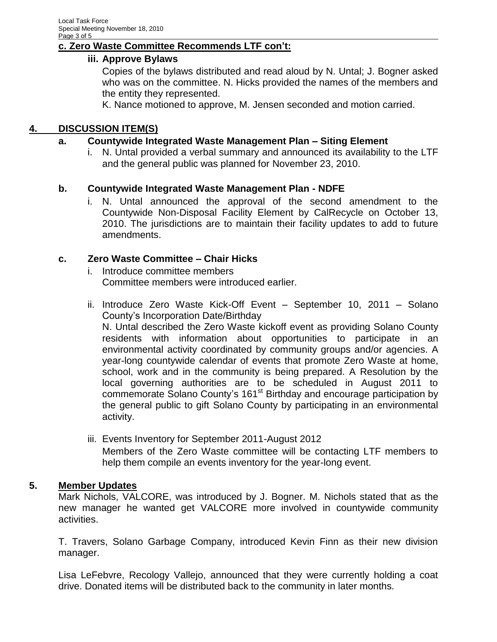## **c. Zero Waste Committee Recommends LTF con't:**

### **iii. Approve Bylaws**

Copies of the bylaws distributed and read aloud by N. Untal; J. Bogner asked who was on the committee. N. Hicks provided the names of the members and the entity they represented.

K. Nance motioned to approve, M. Jensen seconded and motion carried.

### **4. DISCUSSION ITEM(S)**

### **a. Countywide Integrated Waste Management Plan – Siting Element**

i. N. Untal provided a verbal summary and announced its availability to the LTF and the general public was planned for November 23, 2010.

#### **b. Countywide Integrated Waste Management Plan - NDFE**

i. N. Untal announced the approval of the second amendment to the Countywide Non-Disposal Facility Element by CalRecycle on October 13, 2010. The jurisdictions are to maintain their facility updates to add to future amendments.

#### **c. Zero Waste Committee – Chair Hicks**

- i. Introduce committee members Committee members were introduced earlier.
- ii. Introduce Zero Waste Kick-Off Event September 10, 2011 Solano County's Incorporation Date/Birthday

N. Untal described the Zero Waste kickoff event as providing Solano County residents with information about opportunities to participate in an environmental activity coordinated by community groups and/or agencies. A year-long countywide calendar of events that promote Zero Waste at home, school, work and in the community is being prepared. A Resolution by the local governing authorities are to be scheduled in August 2011 to commemorate Solano County's 161<sup>st</sup> Birthday and encourage participation by the general public to gift Solano County by participating in an environmental activity.

iii. Events Inventory for September 2011-August 2012 Members of the Zero Waste committee will be contacting LTF members to help them compile an events inventory for the year-long event.

### **5. Member Updates**

Mark Nichols, VALCORE, was introduced by J. Bogner. M. Nichols stated that as the new manager he wanted get VALCORE more involved in countywide community activities.

T. Travers, Solano Garbage Company, introduced Kevin Finn as their new division manager.

Lisa LeFebvre, Recology Vallejo, announced that they were currently holding a coat drive. Donated items will be distributed back to the community in later months.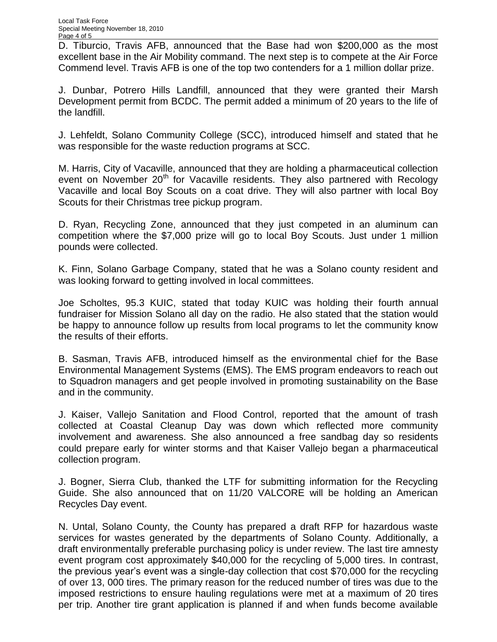D. Tiburcio, Travis AFB, announced that the Base had won \$200,000 as the most excellent base in the Air Mobility command. The next step is to compete at the Air Force Commend level. Travis AFB is one of the top two contenders for a 1 million dollar prize.

J. Dunbar, Potrero Hills Landfill, announced that they were granted their Marsh Development permit from BCDC. The permit added a minimum of 20 years to the life of the landfill.

J. Lehfeldt, Solano Community College (SCC), introduced himself and stated that he was responsible for the waste reduction programs at SCC.

M. Harris, City of Vacaville, announced that they are holding a pharmaceutical collection event on November 20<sup>th</sup> for Vacaville residents. They also partnered with Recology Vacaville and local Boy Scouts on a coat drive. They will also partner with local Boy Scouts for their Christmas tree pickup program.

D. Ryan, Recycling Zone, announced that they just competed in an aluminum can competition where the \$7,000 prize will go to local Boy Scouts. Just under 1 million pounds were collected.

K. Finn, Solano Garbage Company, stated that he was a Solano county resident and was looking forward to getting involved in local committees.

Joe Scholtes, 95.3 KUIC, stated that today KUIC was holding their fourth annual fundraiser for Mission Solano all day on the radio. He also stated that the station would be happy to announce follow up results from local programs to let the community know the results of their efforts.

B. Sasman, Travis AFB, introduced himself as the environmental chief for the Base Environmental Management Systems (EMS). The EMS program endeavors to reach out to Squadron managers and get people involved in promoting sustainability on the Base and in the community.

J. Kaiser, Vallejo Sanitation and Flood Control, reported that the amount of trash collected at Coastal Cleanup Day was down which reflected more community involvement and awareness. She also announced a free sandbag day so residents could prepare early for winter storms and that Kaiser Vallejo began a pharmaceutical collection program.

J. Bogner, Sierra Club, thanked the LTF for submitting information for the Recycling Guide. She also announced that on 11/20 VALCORE will be holding an American Recycles Day event.

N. Untal, Solano County, the County has prepared a draft RFP for hazardous waste services for wastes generated by the departments of Solano County. Additionally, a draft environmentally preferable purchasing policy is under review. The last tire amnesty event program cost approximately \$40,000 for the recycling of 5,000 tires. In contrast, the previous year's event was a single-day collection that cost \$70,000 for the recycling of over 13, 000 tires. The primary reason for the reduced number of tires was due to the imposed restrictions to ensure hauling regulations were met at a maximum of 20 tires per trip. Another tire grant application is planned if and when funds become available